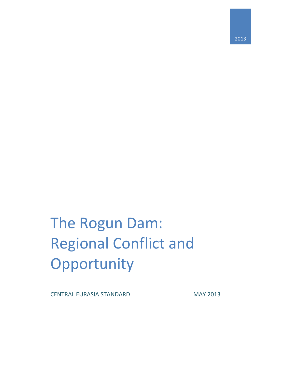2013

# The Rogun Dam: Regional Conflict and Opportunity

CENTRAL EURASIA STANDARD MAY 2013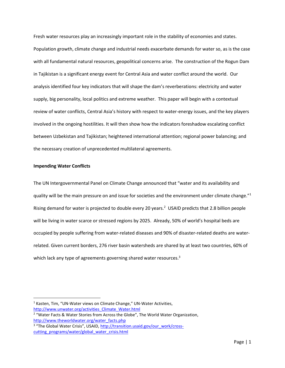Fresh water resources play an increasingly important role in the stability of economies and states. Population growth, climate change and industrial needs exacerbate demands for water so, as is the case with all fundamental natural resources, geopolitical concerns arise. The construction of the Rogun Dam in Tajikistan is a significant energy event for Central Asia and water conflict around the world. Our analysis identified four key indicators that will shape the dam's reverberations: electricity and water supply, big personality, local politics and extreme weather. This paper will begin with a contextual review of water conflicts, Central Asia's history with respect to water-energy issues, and the key players involved in the ongoing hostilities. It will then show how the indicators foreshadow escalating conflict between Uzbekistan and Tajikistan; heightened international attention; regional power balancing; and the necessary creation of unprecedented multilateral agreements.

## **Impending Water Conflicts**

 $\overline{a}$ 

The UN Intergovernmental Panel on Climate Change announced that "water and its availability and quality will be the main pressure on and issue for societies and the environment under climate change."<sup>1</sup> Rising demand for water is projected to double every 20 years.<sup>2</sup> USAID predicts that 2.8 billion people will be living in water scarce or stressed regions by 2025. Already, 50% of world's hospital beds are occupied by people suffering from water-related diseases and 90% of disaster-related deaths are waterrelated. Given current borders, 276 river basin watersheds are shared by at least two countries, 60% of which lack any type of agreements governing shared water resources.<sup>3</sup>

<sup>&</sup>lt;sup>1</sup> Kasten, Tim, "UN-Water views on Climate Change," UN-Water Activities, [http://www.unwater.org/activities\\_Climate\\_Water.html](http://www.unwater.org/activities_Climate_Water.html)

<sup>&</sup>lt;sup>2</sup> "Water Facts & Water Stories from Across the Globe", The World Water Organization, [http://www.theworldwater.org/water\\_facts.php](http://www.theworldwater.org/water_facts.php)

<sup>&</sup>lt;sup>3</sup> "The Global Water Crisis", USAID, [http://transition.usaid.gov/our\\_work/cross](http://transition.usaid.gov/our_work/cross-cutting_programs/water/global_water_crisis.html)[cutting\\_programs/water/global\\_water\\_crisis.html](http://transition.usaid.gov/our_work/cross-cutting_programs/water/global_water_crisis.html)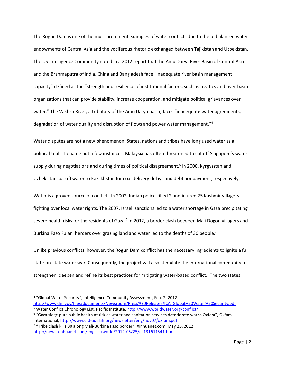The Rogun Dam is one of the most prominent examples of water conflicts due to the unbalanced water endowments of Central Asia and the vociferous rhetoric exchanged between Tajikistan and Uzbekistan. The US Intelligence Community noted in a 2012 report that the Amu Darya River Basin of Central Asia and the Brahmaputra of India, China and Bangladesh face "Inadequate river basin management capacity" defined as the "strength and resilience of institutional factors, such as treaties and river basin organizations that can provide stability, increase cooperation, and mitigate political grievances over water." The Vakhsh River, a tributary of the Amu Darya basin, faces "inadequate water agreements, degradation of water quality and disruption of flows and power water management."<sup>4</sup>

Water disputes are not a new phenomenon. States, nations and tribes have long used water as a political tool. To name but a few instances, Malaysia has often threatened to cut off Singapore's water supply during negotiations and during times of political disagreement.<sup>5</sup> In 2000, Kyrgyzstan and Uzbekistan cut off water to Kazakhstan for coal delivery delays and debt nonpayment, respectively.

Water is a proven source of conflict. In 2002, Indian police killed 2 and injured 25 Kashmir villagers fighting over local water rights. The 2007, Israeli sanctions led to a water shortage in Gaza precipitating severe health risks for the residents of Gaza.<sup>6</sup> In 2012, a border clash between Mali Dogon villagers and Burkina Faso Fulani herders over grazing land and water led to the deaths of 30 people.<sup>7</sup>

Unlike previous conflicts, however, the Rogun Dam conflict has the necessary ingredients to ignite a full state-on-state water war. Consequently, the project will also stimulate the international community to strengthen, deepen and refine its best practices for mitigating water-based conflict. The two states

<sup>&</sup>lt;sup>4</sup> "Global Water Security", Intelligence Community Assessment, Feb. 2, 2012. [http://www.dni.gov/files/documents/Newsroom/Press%20Releases/ICA\\_Global%20Water%20Security.pdf](http://www.dni.gov/files/documents/Newsroom/Press%20Releases/ICA_Global%20Water%20Security.pdf)

<sup>&</sup>lt;sup>5</sup> Water Conflict Chronology List, Pacific Institute,<http://www.worldwater.org/conflict/>

<sup>6</sup> "Gaza siege puts public health at risk as water and sanitation services deteriorate warns Oxfam", Oxfam International[, http://www.old-adalah.org/newsletter/eng/nov07/oxfam.pdf](http://www.old-adalah.org/newsletter/eng/nov07/oxfam.pdf)

<sup>&</sup>lt;sup>7</sup> "Tribe clash kills 30 along Mali-Burkina Faso border", Xinhuanet.com, May 25, 2012, [http://news.xinhuanet.com/english/world/2012-05/25/c\\_131611541.htm](http://news.xinhuanet.com/english/world/2012-05/25/c_131611541.htm)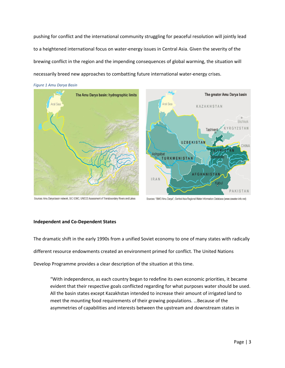pushing for conflict and the international community struggling for peaceful resolution will jointly lead to a heightened international focus on water-energy issues in Central Asia. Given the severity of the brewing conflict in the region and the impending consequences of global warming, the situation will necessarily breed new approaches to combatting future international water-energy crises.



*Figure 1 Amu Darya Basin*

Sources: Amu Darya basin network, SIC ICWC, UNECE Assessment of Transboundary Rivers and Lakes

Sources: "BWO Amu Darya", Central Asia Regional Water Information Database (www.cawater-info.net)

## **Independent and Co-Dependent States**

The dramatic shift in the early 1990s from a unified Soviet economy to one of many states with radically different resource endowments created an environment primed for conflict. The United Nations Develop Programme provides a clear description of the situation at this time.

"With independence, as each country began to redefine its own economic priorities, it became evident that their respective goals conflicted regarding for what purposes water should be used. All the basin states except Kazakhstan intended to increase their amount of irrigated land to meet the mounting food requirements of their growing populations. …Because of the asymmetries of capabilities and interests between the upstream and downstream states in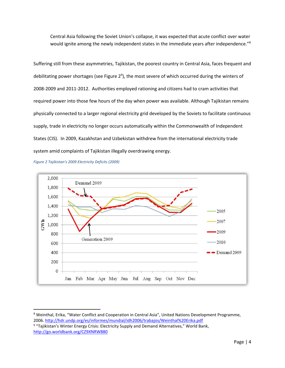Central Asia following the Soviet Union's collapse, it was expected that acute conflict over water would ignite among the newly independent states in the immediate years after independence."<sup>8</sup>

Suffering still from these asymmetries, Tajikistan, the poorest country in Central Asia, faces frequent and debilitating power shortages (see Figure 2<sup>9</sup>), the most severe of which occurred during the winters of 2008-2009 and 2011-2012. Authorities employed rationing and citizens had to cram activities that required power into those few hours of the day when power was available. Although Tajikistan remains physically connected to a larger regional electricity grid developed by the Soviets to facilitate continuous supply, trade in electricity no longer occurs automatically within the Commonwealth of Independent States (CIS). In 2009, Kazakhstan and Uzbekistan withdrew from the international electricity trade system amid complaints of Tajikistan illegally overdrawing energy.

*Figure 2 Tajikistan's 2009 Electricity Deficits (2009)*

 $\overline{a}$ 



<sup>&</sup>lt;sup>8</sup> Weinthal, Erika, "Water Conflict and Cooperation in Central Asia", United Nations Development Programme, 2006.<http://hdr.undp.org/es/informes/mundial/idh2006/trabajos/Weinthal%20Erika.pdf>

<sup>&</sup>lt;sup>9</sup> "Tajikistan's Winter Energy Crisis: Electricity Supply and Demand Alternatives," World Bank, <http://go.worldbank.org/CZ9XNRW880>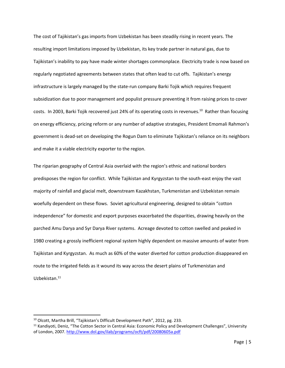The cost of Tajikistan's gas imports from Uzbekistan has been steadily rising in recent years. The resulting import limitations imposed by Uzbekistan, its key trade partner in natural gas, due to Tajikistan's inability to pay have made winter shortages commonplace. Electricity trade is now based on regularly negotiated agreements between states that often lead to cut offs. Tajikistan's energy infrastructure is largely managed by the state-run company Barki Tojik which requires frequent subsidization due to poor management and populist pressure preventing it from raising prices to cover costs. In 2003, Barki Tojik recovered just 24% of its operating costs in revenues.<sup>10</sup> Rather than focusing on energy efficiency, pricing reform or any number of adaptive strategies, President Emomali Rahmon's government is dead-set on developing the Rogun Dam to eliminate Tajikistan's reliance on its neighbors and make it a viable electricity exporter to the region.

The riparian geography of Central Asia overlaid with the region's ethnic and national borders predisposes the region for conflict. While Tajikistan and Kyrgyzstan to the south-east enjoy the vast majority of rainfall and glacial melt, downstream Kazakhstan, Turkmenistan and Uzbekistan remain woefully dependent on these flows. Soviet agricultural engineering, designed to obtain "cotton independence" for domestic and export purposes exacerbated the disparities, drawing heavily on the parched Amu Darya and Syr Darya River systems. Acreage devoted to cotton swelled and peaked in 1980 creating a grossly inefficient regional system highly dependent on massive amounts of water from Tajikistan and Kyrgyzstan. As much as 60% of the water diverted for cotton production disappeared en route to the irrigated fields as it wound its way across the desert plains of Turkmenistan and Uzbekistan.<sup>11</sup>

<sup>10</sup> Olcott, Martha Brill, "Tajikistan's Difficult Development Path", 2012, pg. 233.

<sup>&</sup>lt;sup>11</sup> Kandiyoti, Deniz, "The Cotton Sector in Central Asia: Economic Policy and Development Challenges", University of London, 2007.<http://www.dol.gov/ilab/programs/ocft/pdf/20080605a.pdf>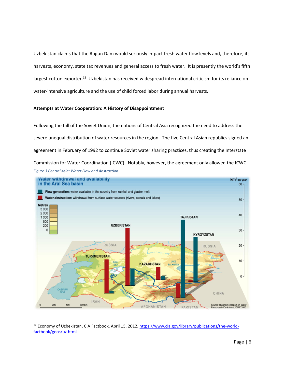Uzbekistan claims that the Rogun Dam would seriously impact fresh water flow levels and, therefore, its harvests, economy, state tax revenues and general access to fresh water. It is presently the world's fifth largest cotton exporter.<sup>12</sup> Uzbekistan has received widespread international criticism for its reliance on water-intensive agriculture and the use of child forced labor during annual harvests.

## **Attempts at Water Cooperation: A History of Disappointment**

Following the fall of the Soviet Union, the nations of Central Asia recognized the need to address the severe unequal distribution of water resources in the region. The five Central Asian republics signed an agreement in February of 1992 to continue Soviet water sharing practices, thus creating the Interstate Commission for Water Coordination (ICWC). Notably, however, the agreement only allowed the ICWC *Figure 3 Central Asia: Water Flow and Abstraction*



l <sup>12</sup> Economy of Uzbekistan, CIA Factbook, April 15, 2012, [https://www.cia.gov/library/publications/the-world](https://www.cia.gov/library/publications/the-world-factbook/geos/uz.html)[factbook/geos/uz.html](https://www.cia.gov/library/publications/the-world-factbook/geos/uz.html)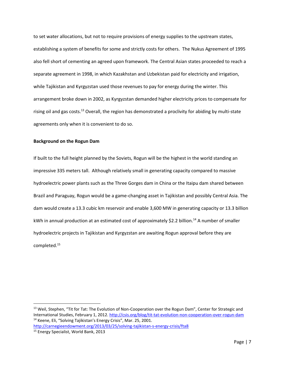to set water allocations, but not to require provisions of energy supplies to the upstream states, establishing a system of benefits for some and strictly costs for others. The Nukus Agreement of 1995 also fell short of cementing an agreed upon framework. The Central Asian states proceeded to reach a separate agreement in 1998, in which Kazakhstan and Uzbekistan paid for electricity and irrigation, while Tajikistan and Kyrgyzstan used those revenues to pay for energy during the winter. This arrangement broke down in 2002, as Kyrgyzstan demanded higher electricity prices to compensate for rising oil and gas costs.<sup>13</sup> Overall, the region has demonstrated a proclivity for abiding by multi-state agreements only when it is convenient to do so.

## **Background on the Rogun Dam**

If built to the full height planned by the Soviets, Rogun will be the highest in the world standing an impressive 335 meters tall. Although relatively small in generating capacity compared to massive hydroelectric power plants such as the Three Gorges dam in China or the Itaipu dam shared between Brazil and Paraguay, Rogun would be a game-changing asset in Tajikistan and possibly Central Asia. The dam would create a 13.3 cubic km reservoir and enable 3,600 MW in generating capacity or 13.3 billion kWh in annual production at an estimated cost of approximately \$2.2 billion.<sup>14</sup> A number of smaller hydroelectric projects in Tajikistan and Kyrgyzstan are awaiting Rogun approval before they are completed.<sup>15</sup>

l

<sup>&</sup>lt;sup>13</sup> Weil, Stephen, "Tit for Tat: The Evolution of Non-Cooperation over the Rogun Dam", Center for Strategic and International Studies, February 1, 2012.<http://csis.org/blog/tit-tat-evolution-non-cooperation-over-rogun-dam> <sup>14</sup> Keene, Eli, "Solving Tajikistan's Energy Crisis", Mar. 25, 2001. <http://carnegieendowment.org/2013/03/25/solving-tajikistan-s-energy-crisis/fta8>

<sup>15</sup> Energy Specialist, World Bank, 2013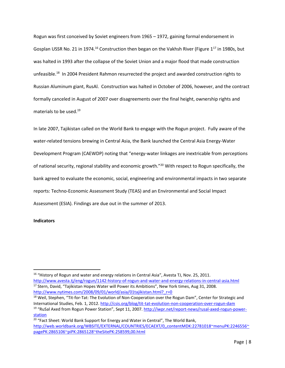Rogun was first conceived by Soviet engineers from 1965 – 1972, gaining formal endorsement in Gosplan USSR No. 21 in 1974.<sup>16</sup> Construction then began on the Vakhsh River (Figure 1<sup>17</sup> in 1980s, but was halted in 1993 after the collapse of the Soviet Union and a major flood that made construction unfeasible.<sup>18</sup> In 2004 President Rahmon resurrected the project and awarded construction rights to Russian Aluminum giant, RusAl. Construction was halted in October of 2006, however, and the contract formally canceled in August of 2007 over disagreements over the final height, ownership rights and materials to be used.<sup>19</sup>

In late 2007, Tajikistan called on the World Bank to engage with the Rogun project. Fully aware of the water-related tensions brewing in Central Asia, the Bank launched the Central Asia Energy-Water Development Program (CAEWDP) noting that "energy-water linkages are inextricable from perceptions of national security, regional stability and economic growth."<sup>20</sup> With respect to Rogun specifically, the bank agreed to evaluate the economic, social, engineering and environmental impacts in two separate reports: Techno-Economic Assessment Study (TEAS) and an Environmental and Social Impact Assessment (ESIA). Findings are due out in the summer of 2013.

## **Indicators**

 $\overline{a}$ 

<sup>&</sup>lt;sup>16</sup> "History of Rogun and water and energy relations in Central Asia", Avesta TJ, Nov. 25, 2011. <http://www.avesta.tj/eng/rogun/1142-history-of-rogun-and-water-and-energy-relations-in-central-asia.html> <sup>17</sup> Stern, David, "Tajikistan Hopes Water will Power its Ambitions", New York times, Aug 31, 2008. [http://www.nytimes.com/2008/09/01/world/asia/01tajikistan.html?\\_r=0](http://www.nytimes.com/2008/09/01/world/asia/01tajikistan.html?_r=0)

<sup>&</sup>lt;sup>18</sup> Weil, Stephen, "Tit-for-Tat: The Evolution of Non-Cooperation over the Rogun Dam", Center for Strategic and International Studies, Feb. 1, 2012.<http://csis.org/blog/tit-tat-evolution-non-cooperation-over-rogun-dam> <sup>19</sup> "RuSal Axed from Rogun Power Station", Sept 11, 2007. [http://iwpr.net/report-news/rusal-axed-rogun-power-](http://iwpr.net/report-news/rusal-axed-rogun-power-station)

[station](http://iwpr.net/report-news/rusal-axed-rogun-power-station)

<sup>&</sup>lt;sup>20</sup> "Fact Sheet: World Bank Support for Energy and Water in Central", The World Bank, [http://web.worldbank.org/WBSITE/EXTERNAL/COUNTRIES/ECAEXT/0,,contentMDK:22781018~menuPK:2246556~](http://web.worldbank.org/WBSITE/EXTERNAL/COUNTRIES/ECAEXT/0,,contentMDK:22781018~menuPK:2246556~pagePK:2865106~piPK:2865128~theSitePK:258599,00.html) [pagePK:2865106~piPK:2865128~theSitePK:258599,00.html](http://web.worldbank.org/WBSITE/EXTERNAL/COUNTRIES/ECAEXT/0,,contentMDK:22781018~menuPK:2246556~pagePK:2865106~piPK:2865128~theSitePK:258599,00.html)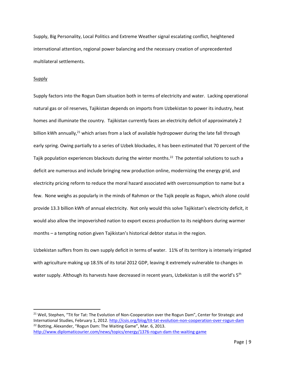Supply, Big Personality, Local Politics and Extreme Weather signal escalating conflict, heightened international attention, regional power balancing and the necessary creation of unprecedented multilateral settlements.

# **Supply**

 $\overline{a}$ 

Supply factors into the Rogun Dam situation both in terms of electricity and water. Lacking operational natural gas or oil reserves, Tajikistan depends on imports from Uzbekistan to power its industry, heat homes and illuminate the country. Tajikistan currently faces an electricity deficit of approximately 2 billion kWh annually,<sup>21</sup> which arises from a lack of available hydropower during the late fall through early spring. Owing partially to a series of Uzbek blockades, it has been estimated that 70 percent of the Tajik population experiences blackouts during the winter months.<sup>22</sup> The potential solutions to such a deficit are numerous and include bringing new production online, modernizing the energy grid, and electricity pricing reform to reduce the moral hazard associated with overconsumption to name but a few. None weighs as popularly in the minds of Rahmon or the Tajik people as Rogun, which alone could provide 13.3 billion kWh of annual electricity. Not only would this solve Tajikistan's electricity deficit, it would also allow the impoverished nation to export excess production to its neighbors during warmer months – a tempting notion given Tajikistan's historical debtor status in the region.

Uzbekistan suffers from its own supply deficit in terms of water. 11% of its territory is intensely irrigated with agriculture making up 18.5% of its total 2012 GDP, leaving it extremely vulnerable to changes in water supply. Although its harvests have decreased in recent years, Uzbekistan is still the world's 5<sup>th</sup>

<sup>&</sup>lt;sup>21</sup> Weil, Stephen, "Tit for Tat: The Evolution of Non-Cooperation over the Rogun Dam", Center for Strategic and International Studies, February 1, 2012.<http://csis.org/blog/tit-tat-evolution-non-cooperation-over-rogun-dam> <sup>22</sup> Botting, Alexander, "Rogun Dam: The Waiting Game", Mar. 6, 2013. <http://www.diplomaticourier.com/news/topics/energy/1376-rogun-dam-the-waiting-game>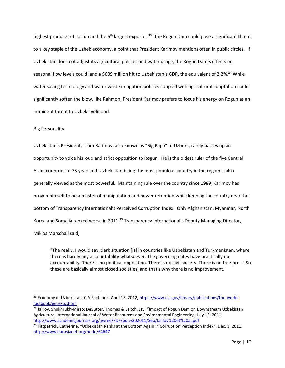highest producer of cotton and the  $6<sup>th</sup>$  largest exporter.<sup>23</sup> The Rogun Dam could pose a significant threat to a key staple of the Uzbek economy, a point that President Karimov mentions often in public circles. If Uzbekistan does not adjust its agricultural policies and water usage, the Rogun Dam's effects on seasonal flow levels could land a \$609 million hit to Uzbekistan's GDP, the equivalent of 2.2%.<sup>24</sup> While water saving technology and water waste mitigation policies coupled with agricultural adaptation could significantly soften the blow, like Rahmon, President Karimov prefers to focus his energy on Rogun as an imminent threat to Uzbek livelihood.

## Big Personality

 $\overline{\phantom{a}}$ 

Uzbekistan's President, Islam Karimov, also known as "Big Papa" to Uzbeks, rarely passes up an opportunity to voice his loud and strict opposition to Rogun. He is the oldest ruler of the five Central Asian countries at 75 years old. Uzbekistan being the most populous country in the region is also generally viewed as the most powerful. Maintaining rule over the country since 1989, Karimov has proven himself to be a master of manipulation and power retention while keeping the country near the bottom of Transparency International's Perceived Corruption Index. Only Afghanistan, Myanmar, North Korea and Somalia ranked worse in 2011.<sup>25</sup> Transparency International's Deputy Managing Director, Miklos Marschall said,

"The really, I would say, dark situation [is] in countries like Uzbekistan and Turkmenistan, where there is hardly any accountability whatsoever. The governing elites have practically no accountability. There is no political opposition. There is no civil society. There is no free press. So these are basically almost closed societies, and that's why there is no improvement."

<sup>&</sup>lt;sup>23</sup> Economy of Uzbekistan, CIA Factbook, April 15, 2012, [https://www.cia.gov/library/publications/the-world](https://www.cia.gov/library/publications/the-world-factbook/geos/uz.html)[factbook/geos/uz.html](https://www.cia.gov/library/publications/the-world-factbook/geos/uz.html)

<sup>&</sup>lt;sup>24</sup> Jalilov, Shokhrukh-Mirzo; DeSutter, Thomas & Leitch, Jay, "Impact of Rogun Dam on Downstream Uzbekistan Agriculture, International Journal of Water Resources and Environmental Engineering, July 13, 2011. <http://www.academicjournals.org/ijwree/PDF/pdf%202011/Sep/Jalilov%20et%20al.pdf>

<sup>&</sup>lt;sup>25</sup> Fitzpatrick, Catherine, "Uzbekistan Ranks at the Bottom Again in Corruption Perception Index", Dec. 1, 2011. <http://www.eurasianet.org/node/64647>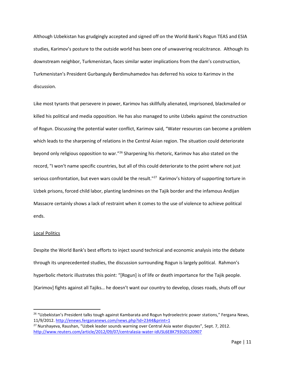Although Uzbekistan has grudgingly accepted and signed off on the World Bank's Rogun TEAS and ESIA studies, Karimov's posture to the outside world has been one of unwavering recalcitrance. Although its downstream neighbor, Turkmenistan, faces similar water implications from the dam's construction, Turkmenistan's President Gurbanguly Berdimuhamedov has deferred his voice to Karimov in the discussion.

Like most tyrants that persevere in power, Karimov has skillfully alienated, imprisoned, blackmailed or killed his political and media opposition. He has also managed to unite Uzbeks against the construction of Rogun. Discussing the potential water conflict, Karimov said, "Water resources can become a problem which leads to the sharpening of relations in the Central Asian region. The situation could deteriorate beyond only religious opposition to war."<sup>26</sup> Sharpening his rhetoric, Karimov has also stated on the record, "I won't name specific countries, but all of this could deteriorate to the point where not just serious confrontation, but even wars could be the result."<sup>27</sup> Karimov's history of supporting torture in Uzbek prisons, forced child labor, planting landmines on the Tajik border and the infamous Andijan Massacre certainly shows a lack of restraint when it comes to the use of violence to achieve political ends.

## Local Politics

 $\overline{a}$ 

Despite the World Bank's best efforts to inject sound technical and economic analysis into the debate through its unprecedented studies, the discussion surrounding Rogun is largely political. Rahmon's hyperbolic rhetoric illustrates this point: "[Rogun] is of life or death importance for the Tajik people. [Karimov] fights against all Tajiks… he doesn't want our country to develop, closes roads, shuts off our

<sup>&</sup>lt;sup>26</sup> "Uzbekistan's President talks tough against Kambarata and Rogun hydroelectric power stations," Fergana News, 11/9/2012.<http://enews.fergananews.com/news.php?id=2344&print=1>

<sup>&</sup>lt;sup>27</sup> Nurshayeva, Raushan, "Uzbek leader sounds warning over Central Asia water disputes", Sept. 7, 2012. <http://www.reuters.com/article/2012/09/07/centralasia-water-idUSL6E8K793I20120907>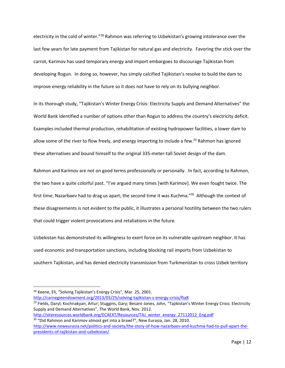electricity in the cold of winter."<sup>28</sup> Rahmon was referring to Uzbekistan's growing intolerance over the last few years for late payment from Tajikistan for natural gas and electricity. Favoring the stick over the carrot, Karimov has used temporary energy and import embargoes to discourage Tajikistan from developing Rogun. In doing so, however, has simply calcified Tajikistan's resolve to build the dam to improve energy reliability in the future so it does not have to rely on its bullying neighbor.

In its thorough study, "Tajikistan's Winter Energy Crisis: Electricity Supply and Demand Alternatives" the World Bank identified a number of options other than Rogun to address the country's electricity deficit. Examples included thermal production, rehabilitation of existing hydropower facilities, a lower dam to allow some of the river to flow freely, and energy importing to include a few.<sup>29</sup> Rahmon has ignored these alternatives and bound himself to the original 335-meter-tall Soviet design of the dam.

Rahmon and Karimov are not on good terms professionally or personally. In fact, according to Rahmon, the two have a quite colorful past. "I've argued many times [with Karimov]. We even fought twice. The first time, Nazarbaev had to drag us apart; the second time it was Kuchma."<sup>30</sup> Although the context of these disagreements is not evident to the public, it illustrates a personal hostility between the two rulers that could trigger violent provocations and retaliations in the future.

Uzbekistan has demonstrated its willingness to exert force on its vulnerable upstream neighbor. It has used economic and transportation sanctions, including blocking rail imports from Uzbekistan to southern Tajikistan, and has denied electricity transmission from Turkmenistan to cross Uzbek territory

 $\overline{\phantom{a}}$ 

<http://carnegieendowment.org/2013/03/25/solving-tajikistan-s-energy-crisis/fta8> <sup>29</sup> Fields, Daryl; Kochnakyan, Artur; Stuggins, Gary; Besant-Jones, John, "Tajikistan's Winter Energy Crisis: Electricity Supply and Demand Alternatives", The World Bank, Nov. 2012.

<sup>&</sup>lt;sup>28</sup> Keene, Eli, "Solving Tajikistan's Energy Crisis", Mar. 25, 2001.

[http://siteresources.worldbank.org/ECAEXT/Resources/TAJ\\_winter\\_energy\\_27112012\\_Eng.pdf](http://siteresources.worldbank.org/ECAEXT/Resources/TAJ_winter_energy_27112012_Eng.pdf) <sup>30</sup> "Did Rahmon and Karimov almost get into a brawl?", New Eurasia, Jan. 28, 2010.

[http://www.neweurasia.net/politics-and-society/the-story-of-how-nazarbaev-and-kuchma-had-to-pull-apart-the](http://www.neweurasia.net/politics-and-society/the-story-of-how-nazarbaev-and-kuchma-had-to-pull-apart-the-presidents-of-tajikistan-and-uzbekistan/)[presidents-of-tajikistan-and-uzbekistan/](http://www.neweurasia.net/politics-and-society/the-story-of-how-nazarbaev-and-kuchma-had-to-pull-apart-the-presidents-of-tajikistan-and-uzbekistan/)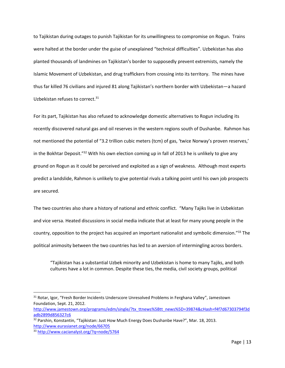to Tajikistan during outages to punish Tajikistan for its unwillingness to compromise on Rogun. Trains were halted at the border under the guise of unexplained "technical difficulties". Uzbekistan has also planted thousands of landmines on Tajikistan's border to supposedly prevent extremists, namely the Islamic Movement of Uzbekistan, and drug traffickers from crossing into its territory. The mines have thus far killed 76 civilians and injured 81 along Tajikistan's northern border with Uzbekistan—a hazard Uzbekistan refuses to correct.<sup>31</sup>

For its part, Tajikistan has also refused to acknowledge domestic alternatives to Rogun including its recently discovered natural gas and oil reserves in the western regions south of Dushanbe. Rahmon has not mentioned the potential of "3.2 trillion cubic meters (tcm) of gas, 'twice Norway's proven reserves,' in the Bokhtar Deposit." $32$  With his own election coming up in fall of 2013 he is unlikely to give any ground on Rogun as it could be perceived and exploited as a sign of weakness. Although most experts predict a landslide, Rahmon is unlikely to give potential rivals a talking point until his own job prospects are secured.

The two countries also share a history of national and ethnic conflict. "Many Tajiks live in Uzbekistan and vice versa. Heated discussions in social media indicate that at least for many young people in the country, opposition to the project has acquired an important nationalist and symbolic dimension."<sup>33</sup> The political animosity between the two countries has led to an aversion of intermingling across borders.

"Tajikistan has a substantial Uzbek minority and Uzbekistan is home to many Tajiks, and both cultures have a lot in common. Despite these ties, the media, civil society groups, political

<sup>&</sup>lt;sup>31</sup> Rotar, Igor, "Fresh Border Incidents Underscore Unresolved Problems in Ferghana Valley", Jamestown Foundation, Sept. 21, 2012.

[http://www.jamestown.org/programs/edm/single/?tx\\_ttnews%5Btt\\_news%5D=39874&cHash=f4f7d67303794f3d](http://www.jamestown.org/programs/edm/single/?tx_ttnews%5Btt_news%5D=39874&cHash=f4f7d67303794f3dadb2899d856327c6) [adb2899d856327c6](http://www.jamestown.org/programs/edm/single/?tx_ttnews%5Btt_news%5D=39874&cHash=f4f7d67303794f3dadb2899d856327c6)

 $32$  Parshin, Konstantin, "Tajikistan: Just How Much Energy Does Dushanbe Have?", Mar. 18, 2013. <http://www.eurasianet.org/node/66705>

<sup>33</sup> <http://www.cacianalyst.org/?q=node/5764>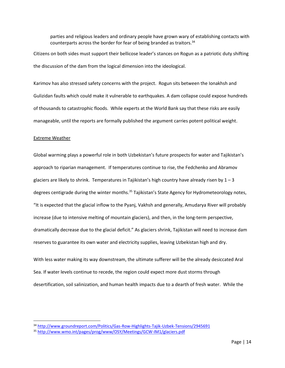parties and religious leaders and ordinary people have grown wary of establishing contacts with counterparts across the border for fear of being branded as traitors.  $34$ 

Citizens on both sides must support their bellicose leader's stances on Rogun as a patriotic duty shifting the discussion of the dam from the logical dimension into the ideological.

Karimov has also stressed safety concerns with the project. Rogun sits between the Ionakhsh and Gulizidan faults which could make it vulnerable to earthquakes. A dam collapse could expose hundreds of thousands to catastrophic floods. While experts at the World Bank say that these risks are easily manageable, until the reports are formally published the argument carries potent political weight.

#### Extreme Weather

l

Global warming plays a powerful role in both Uzbekistan's future prospects for water and Tajikistan's approach to riparian management. If temperatures continue to rise, the Fedchenko and Abramov glaciers are likely to shrink. Temperatures in Tajikistan's high country have already risen by  $1 - 3$ degrees centigrade during the winter months.<sup>35</sup> Tajikistan's State Agency for Hydrometeorology notes, "It is expected that the glacial inflow to the Pyanj, Vakhsh and generally, Amudarya River will probably increase (due to intensive melting of mountain glaciers), and then, in the long-term perspective, dramatically decrease due to the glacial deficit." As glaciers shrink, Tajikistan will need to increase dam reserves to guarantee its own water and electricity supplies, leaving Uzbekistan high and dry.

With less water making its way downstream, the ultimate sufferer will be the already desiccated Aral Sea. If water levels continue to recede, the region could expect more dust storms through desertification, soil salinization, and human health impacts due to a dearth of fresh water. While the

<sup>34</sup> <http://www.groundreport.com/Politics/Gas-Row-Highlights-Tajik-Uzbek-Tensions/2945691>

<sup>35</sup> <http://www.wmo.int/pages/prog/www/OSY/Meetings/GCW-IM1/glaciers.pdf>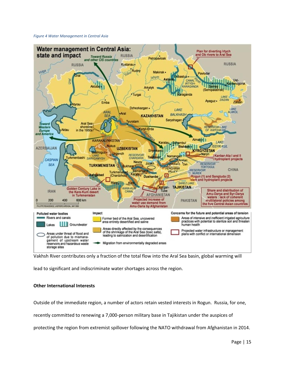#### *Figure 4 Water Management in Central Asia*



Vakhsh River contributes only a fraction of the total flow into the Aral Sea basin, global warming will

lead to significant and indiscriminate water shortages across the region.

# **Other International Interests**

Outside of the immediate region, a number of actors retain vested interests in Rogun. Russia, for one,

recently committed to renewing a 7,000-person military base in Tajikistan under the auspices of

protecting the region from extremist spillover following the NATO withdrawal from Afghanistan in 2014.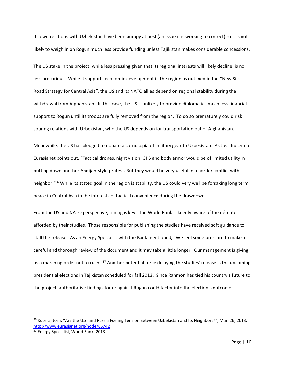Its own relations with Uzbekistan have been bumpy at best (an issue it is working to correct) so it is not likely to weigh in on Rogun much less provide funding unless Tajikistan makes considerable concessions.

The US stake in the project, while less pressing given that its regional interests will likely decline, is no less precarious. While it supports economic development in the region as outlined in the "New Silk Road Strategy for Central Asia", the US and its NATO allies depend on regional stability during the withdrawal from Afghanistan. In this case, the US is unlikely to provide diplomatic--much less financial- support to Rogun until its troops are fully removed from the region. To do so prematurely could risk souring relations with Uzbekistan, who the US depends on for transportation out of Afghanistan.

Meanwhile, the US has pledged to donate a cornucopia of military gear to Uzbekistan. As Josh Kucera of Eurasianet points out, "Tactical drones, night vision, GPS and body armor would be of limited utility in putting down another Andijan-style protest. But they would be very useful in a border conflict with a neighbor."<sup>36</sup> While its stated goal in the region is stability, the US could very well be forsaking long term peace in Central Asia in the interests of tactical convenience during the drawdown.

From the US and NATO perspective, timing is key. The World Bank is keenly aware of the détente afforded by their studies. Those responsible for publishing the studies have received soft guidance to stall the release. As an Energy Specialist with the Bank mentioned, "We feel some pressure to make a careful and thorough review of the document and it may take a little longer. Our management is giving us a marching order not to rush."<sup>37</sup> Another potential force delaying the studies' release is the upcoming presidential elections in Tajikistan scheduled for fall 2013. Since Rahmon has tied his country's future to the project, authoritative findings for or against Rogun could factor into the election's outcome.

<sup>&</sup>lt;sup>36</sup> Kucera, Josh, "Are the U.S. and Russia Fueling Tension Between Uzbekistan and Its Neighbors?", Mar. 26, 2013. <http://www.eurasianet.org/node/66742>

<sup>&</sup>lt;sup>37</sup> Energy Specialist, World Bank, 2013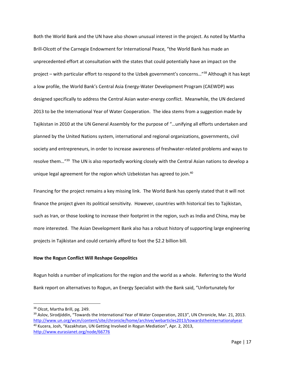Both the World Bank and the UN have also shown unusual interest in the project. As noted by Martha Brill-Olcott of the Carnegie Endowment for International Peace, "the World Bank has made an unprecedented effort at consultation with the states that could potentially have an impact on the project – with particular effort to respond to the Uzbek government's concerns…"<sup>38</sup> Although it has kept a low profile, the World Bank's Central Asia Energy-Water Development Program (CAEWDP) was designed specifically to address the Central Asian water-energy conflict. Meanwhile, the UN declared 2013 to be the International Year of Water Cooperation. The idea stems from a suggestion made by Tajikistan in 2010 at the UN General Assembly for the purpose of "…unifying all efforts undertaken and planned by the United Nations system, international and regional organizations, governments, civil society and entrepreneurs, in order to increase awareness of freshwater-related problems and ways to resolve them..."<sup>39</sup> The UN is also reportedly working closely with the Central Asian nations to develop a unique legal agreement for the region which Uzbekistan has agreed to join.<sup>40</sup>

Financing for the project remains a key missing link. The World Bank has openly stated that it will not finance the project given its political sensitivity. However, countries with historical ties to Tajikistan, such as Iran, or those looking to increase their footprint in the region, such as India and China, may be more interested. The Asian Development Bank also has a robust history of supporting large engineering projects in Tajikistan and could certainly afford to foot the \$2.2 billion bill.

# **How the Rogun Conflict Will Reshape Geopolitics**

Rogun holds a number of implications for the region and the world as a whole. Referring to the World Bank report on alternatives to Rogun, an Energy Specialist with the Bank said, "Unfortunately for

l

<sup>&</sup>lt;sup>38</sup> Olcot, Martha Brill, pg. 249.

<sup>&</sup>lt;sup>39</sup> Aslov, Sirodjiddin, "Towards the International Year of Water Cooperation, 2013", UN Chronicle, Mar. 21, 2013. <http://www.un.org/wcm/content/site/chronicle/home/archive/webarticles2013/towardstheinternationalyear> <sup>40</sup> Kucera, Josh, "Kazakhstan, UN Getting Involved in Rogun Mediation", Apr. 2, 2013, <http://www.eurasianet.org/node/66776>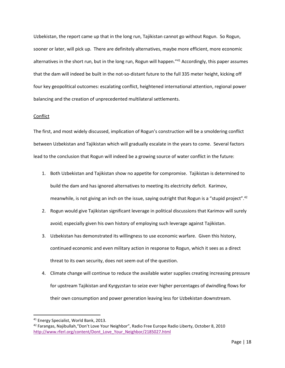Uzbekistan, the report came up that in the long run, Tajikistan cannot go without Rogun. So Rogun, sooner or later, will pick up. There are definitely alternatives, maybe more efficient, more economic alternatives in the short run, but in the long run, Rogun will happen."<sup>41</sup> Accordingly, this paper assumes that the dam will indeed be built in the not-so-distant future to the full 335 meter height, kicking off four key geopolitical outcomes: escalating conflict, heightened international attention, regional power balancing and the creation of unprecedented multilateral settlements.

## Conflict

The first, and most widely discussed, implication of Rogun's construction will be a smoldering conflict between Uzbekistan and Tajikistan which will gradually escalate in the years to come. Several factors lead to the conclusion that Rogun will indeed be a growing source of water conflict in the future:

- 1. Both Uzbekistan and Tajikistan show no appetite for compromise. Tajikistan is determined to build the dam and has ignored alternatives to meeting its electricity deficit. Karimov, meanwhile, is not giving an inch on the issue, saying outright that Rogun is a "stupid project".<sup>42</sup>
- 2. Rogun would give Tajikistan significant leverage in political discussions that Karimov will surely avoid; especially given his own history of employing such leverage against Tajikistan.
- 3. Uzbekistan has demonstrated its willingness to use economic warfare. Given this history, continued economic and even military action in response to Rogun, which it sees as a direct threat to its own security, does not seem out of the question.
- 4. Climate change will continue to reduce the available water supplies creating increasing pressure for upstream Tajikistan and Kyrgyzstan to seize ever higher percentages of dwindling flows for their own consumption and power generation leaving less for Uzbekistan downstream.

<sup>41</sup> Energy Specialist, World Bank, 2013.

<sup>42</sup> Farangas, Najibullah,"Don't Love Your Neighbor", Radio Free Europe Radio Liberty, October 8, 2010 [http://www.rferl.org/content/Dont\\_Love\\_Your\\_Neighbor/2185027.html](http://www.rferl.org/content/Dont_Love_Your_Neighbor/2185027.html)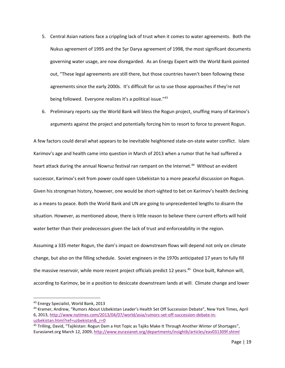- 5. Central Asian nations face a crippling lack of trust when it comes to water agreements. Both the Nukus agreement of 1995 and the Syr Darya agreement of 1998, the most significant documents governing water usage, are now disregarded. As an Energy Expert with the World Bank pointed out, "These legal agreements are still there, but those countries haven't been following these agreements since the early 2000s. It's difficult for us to use those approaches if they're not being followed. Everyone realizes it's a political issue."<sup>43</sup>
- 6. Preliminary reports say the World Bank will bless the Rogun project, snuffing many of Karimov's arguments against the project and potentially forcing him to resort to force to prevent Rogun.

A few factors could derail what appears to be inevitable heightened state-on-state water conflict. Islam Karimov's age and health came into question in March of 2013 when a rumor that he had suffered a heart attack during the annual Nowruz festival ran rampant on the Internet.<sup>44</sup> Without an evident successor, Karimov's exit from power could open Uzbekistan to a more peaceful discussion on Rogun. Given his strongman history, however, one would be short-sighted to bet on Karimov's health declining as a means to peace. Both the World Bank and UN are going to unprecedented lengths to disarm the situation. However, as mentioned above, there is little reason to believe there current efforts will hold water better than their predecessors given the lack of trust and enforceability in the region.

Assuming a 335 meter Rogun, the dam's impact on downstream flows will depend not only on climate change, but also on the filling schedule. Soviet engineers in the 1970s anticipated 17 years to fully fill the massive reservoir, while more recent project officials predict 12 years.<sup>45</sup> Once built, Rahmon will, according to Karimov, be in a position to desiccate downstream lands at will. Climate change and lower

 $\overline{a}$ 

<sup>43</sup> Energy Specialist, World Bank, 2013

<sup>44</sup> Kramer, Andrew, "Rumors About Uzbekistan Leader's Health Set Off Succession Debate", New York Times, April 6, 2013, [http://www.nytimes.com/2013/04/07/world/asia/rumors-set-off-succession-debate-in](http://www.nytimes.com/2013/04/07/world/asia/rumors-set-off-succession-debate-in-uzbekistan.html?ref=uzbekistan&_r=0)uzbekistan.html?ref=uzbekistan& r=0

<sup>&</sup>lt;sup>45</sup> Trilling, David, "Tajikistan: Rogun Dam a Hot Topic as Tajiks Make It Through Another Winter of Shortages", Eurasianet.org March 12, 2009, <http://www.eurasianet.org/departments/insightb/articles/eav031309f.shtml>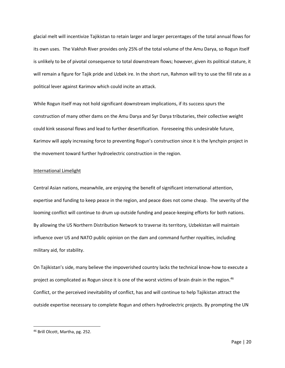glacial melt will incentivize Tajikistan to retain larger and larger percentages of the total annual flows for its own uses. The Vakhsh River provides only 25% of the total volume of the Amu Darya, so Rogun itself is unlikely to be of pivotal consequence to total downstream flows; however, given its political stature, it will remain a figure for Tajik pride and Uzbek ire. In the short run, Rahmon will try to use the fill rate as a political lever against Karimov which could incite an attack.

While Rogun itself may not hold significant downstream implications, if its success spurs the construction of many other dams on the Amu Darya and Syr Darya tributaries, their collective weight could kink seasonal flows and lead to further desertification. Foreseeing this undesirable future, Karimov will apply increasing force to preventing Rogun's construction since it is the lynchpin project in the movement toward further hydroelectric construction in the region.

## International Limelight

Central Asian nations, meanwhile, are enjoying the benefit of significant international attention, expertise and funding to keep peace in the region, and peace does not come cheap. The severity of the looming conflict will continue to drum up outside funding and peace-keeping efforts for both nations. By allowing the US Northern Distribution Network to traverse its territory, Uzbekistan will maintain influence over US and NATO public opinion on the dam and command further royalties, including military aid, for stability.

On Tajikistan's side, many believe the impoverished country lacks the technical know-how to execute a project as complicated as Rogun since it is one of the worst victims of brain drain in the region.<sup>46</sup> Conflict, or the perceived inevitability of conflict, has and will continue to help Tajikistan attract the outside expertise necessary to complete Rogun and others hydroelectric projects. By prompting the UN

<sup>46</sup> Brill Olcott, Martha, pg. 252.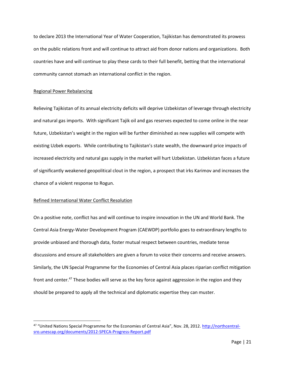to declare 2013 the International Year of Water Cooperation, Tajikistan has demonstrated its prowess on the public relations front and will continue to attract aid from donor nations and organizations. Both countries have and will continue to play these cards to their full benefit, betting that the international community cannot stomach an international conflict in the region.

## Regional Power Rebalancing

Relieving Tajikistan of its annual electricity deficits will deprive Uzbekistan of leverage through electricity and natural gas imports. With significant Tajik oil and gas reserves expected to come online in the near future, Uzbekistan's weight in the region will be further diminished as new supplies will compete with existing Uzbek exports. While contributing to Tajikistan's state wealth, the downward price impacts of increased electricity and natural gas supply in the market will hurt Uzbekistan. Uzbekistan faces a future of significantly weakened geopolitical clout in the region, a prospect that irks Karimov and increases the chance of a violent response to Rogun.

## Refined International Water Conflict Resolution

l

On a positive note, conflict has and will continue to inspire innovation in the UN and World Bank. The Central Asia Energy-Water Development Program (CAEWDP) portfolio goes to extraordinary lengths to provide unbiased and thorough data, foster mutual respect between countries, mediate tense discussions and ensure all stakeholders are given a forum to voice their concerns and receive answers. Similarly, the UN Special Programme for the Economies of Central Asia places riparian conflict mitigation front and center.<sup>47</sup> These bodies will serve as the key force against aggression in the region and they should be prepared to apply all the technical and diplomatic expertise they can muster.

<sup>&</sup>lt;sup>47</sup> "United Nations Special Programme for the Economies of Central Asia", Nov. 28, 2012. [http://northcentral](http://northcentral-sro.unescap.org/documents/2012-SPECA-Progress-Report.pdf)[sro.unescap.org/documents/2012-SPECA-Progress-Report.pdf](http://northcentral-sro.unescap.org/documents/2012-SPECA-Progress-Report.pdf)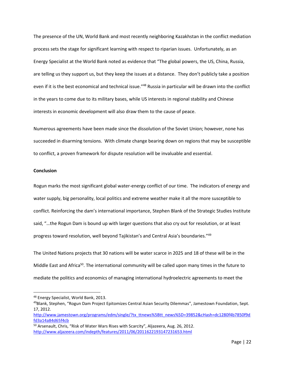The presence of the UN, World Bank and most recently neighboring Kazakhstan in the conflict mediation process sets the stage for significant learning with respect to riparian issues. Unfortunately, as an Energy Specialist at the World Bank noted as evidence that "The global powers, the US, China, Russia, are telling us they support us, but they keep the issues at a distance. They don't publicly take a position even if it is the best economical and technical issue."<sup>48</sup> Russia in particular will be drawn into the conflict in the years to come due to its military bases, while US interests in regional stability and Chinese interests in economic development will also draw them to the cause of peace.

Numerous agreements have been made since the dissolution of the Soviet Union; however, none has succeeded in disarming tensions. With climate change bearing down on regions that may be susceptible to conflict, a proven framework for dispute resolution will be invaluable and essential.

## **Conclusion**

 $\overline{\phantom{a}}$ 

Rogun marks the most significant global water-energy conflict of our time. The indicators of energy and water supply, big personality, local politics and extreme weather make it all the more susceptible to conflict. Reinforcing the dam's international importance, Stephen Blank of the Strategic Studies Institute said, "…the Rogun Dam is bound up with larger questions that also cry out for resolution, or at least progress toward resolution, well beyond Tajikistan's and Central Asia's boundaries."<sup>49</sup>

The United Nations projects that 30 nations will be water scarce in 2025 and 18 of these will be in the Middle East and Africa<sup>50</sup>. The international community will be called upon many times in the future to mediate the politics and economics of managing international hydroelectric agreements to meet the

<sup>48</sup> Energy Specialist, World Bank, 2013.

<sup>49</sup>Blank, Stephen, "Rogun Dam Project Epitomizes Central Asian Security Dilemmas", Jamestown Foundation, Sept. 17, 2012.

[http://www.jamestown.org/programs/edm/single/?tx\\_ttnews%5Btt\\_news%5D=39852&cHash=dc1280f4b7850f9d](http://www.jamestown.org/programs/edm/single/?tx_ttnews%5Btt_news%5D=39852&cHash=dc1280f4b7850f9dfd3a14a84d65f4cb) [fd3a14a84d65f4cb](http://www.jamestown.org/programs/edm/single/?tx_ttnews%5Btt_news%5D=39852&cHash=dc1280f4b7850f9dfd3a14a84d65f4cb)

<sup>50</sup> Arsenault, Chris, "Risk of Water Wars Rises with Scarcity", Aljazeera, Aug. 26, 2012. <http://www.aljazeera.com/indepth/features/2011/06/2011622193147231653.html>